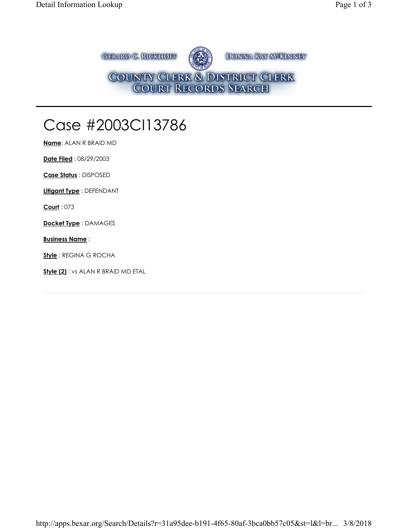**GERARD C. RICKHOFF** DONNA KAY M<sup>SKINNEY</sup> COUNTY CLERK & DISTRICT CLERK<br>COURT RECORDS SEARCH

## Case #2003CI13786

**Name**: ALAN R BRAID MD

**Date Filed** : 08/29/2003

**Case Status** : DISPOSED

**Litigant Type** : DEFENDANT

**Court** : 073

**Docket Type** : DAMAGES

**Business Name** :

**Style** : REGINA G ROCHA

**Style (2)** : vs ALAN R BRAID MD ETAL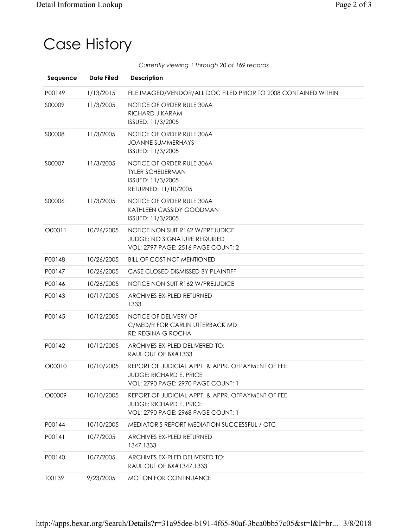## Case History

*Currently viewing 1 through 20 of 169 records*

| Sequence | <b>Date Filed</b> | <b>Description</b>                                                                                                               |
|----------|-------------------|----------------------------------------------------------------------------------------------------------------------------------|
| P00149   | 1/13/2015         | FILE IMAGED/VENDOR/ALL DOC FILED PRIOR TO 2008 CONTAINED WITHIN                                                                  |
| S00009   | 11/3/2005         | NOTICE OF ORDER RULE 306A<br>RICHARD J KARAM<br>ISSUED: 11/3/2005                                                                |
| S00008   | 11/3/2005         | NOTICE OF ORDER RULE 306A<br><b>JOANNE SUMMERHAYS</b><br>ISSUED: 11/3/2005                                                       |
| S00007   | 11/3/2005         | NOTICE OF ORDER RULE 306A<br><b>TYLER SCHEUERMAN</b><br>ISSUED: 11/3/2005<br>RETURNED: 11/10/2005                                |
| S00006   | 11/3/2005         | NOTICE OF ORDER RULE 306A<br>KATHLEEN CASSIDY GOODMAN<br>ISSUED: 11/3/2005                                                       |
| O00011   | 10/26/2005        | NOTICE NON SUIT R162 W/PREJUDICE<br><b>JUDGE: NO SIGNATURE REQUIRED</b><br><b>VOL: 2797 PAGE: 2516 PAGE COUNT: 2</b>             |
| P00148   | 10/26/2005        | <b>BILL OF COST NOT MENTIONED</b>                                                                                                |
| P00147   | 10/26/2005        | CASE CLOSED DISMISSED BY PLAINTIFF                                                                                               |
| P00146   | 10/26/2005        | NOTICE NON SUIT R162 W/PREJUDICE                                                                                                 |
| P00143   | 10/17/2005        | ARCHIVES EX-PLED RETURNED<br>1333                                                                                                |
| P00145   | 10/12/2005        | NOTICE OF DELIVERY OF<br>C/MED/R FOR CARLIN UTTERBACK MD<br><b>RE: REGINA G ROCHA</b>                                            |
| P00142   | 10/12/2005        | ARCHIVES EX-PLED DELIVERED TO:<br>RAUL OUT OF BX#1333                                                                            |
| O00010   | 10/10/2005        | REPORT OF JUDICIAL APPT. & APPR. OFPAYMENT OF FEE<br><b>JUDGE: RICHARD E. PRICE</b><br><b>VOL: 2790 PAGE: 2970 PAGE COUNT: 1</b> |
| O00009   | 10/10/2005        | REPORT OF JUDICIAL APPT, & APPR, OFPAYMENT OF FEE<br>JUDGE: RICHARD E. PRICE<br>VOL: 2790 PAGE: 2968 PAGE COUNT: 1               |
| P00144   | 10/10/2005        | MEDIATOR'S REPORT MEDIATION SUCCESSFUL / OTC                                                                                     |
| P00141   | 10/7/2005         | <b>ARCHIVES EX-PLED RETURNED</b><br>1347,1333                                                                                    |
| P00140   | 10/7/2005         | ARCHIVES EX-PLED DELIVERED TO:<br>RAUL OUT OF BX#1347,1333                                                                       |
| T00139   | 9/23/2005         | MOTION FOR CONTINUANCE                                                                                                           |